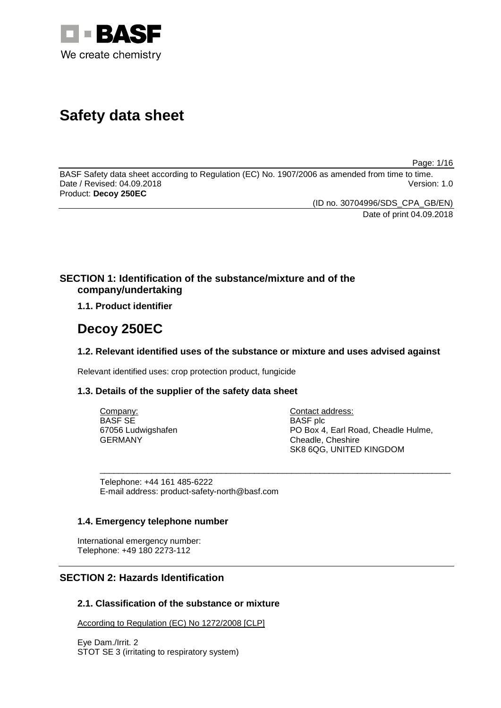

# **Safety data sheet**

Page: 1/16

BASF Safety data sheet according to Regulation (EC) No. 1907/2006 as amended from time to time. Date / Revised: 04.09.2018 Product: **Decoy 250EC**

(ID no. 30704996/SDS\_CPA\_GB/EN)

Date of print 04.09.2018

# **SECTION 1: Identification of the substance/mixture and of the company/undertaking**

**1.1. Product identifier**

# **Decoy 250EC**

# **1.2. Relevant identified uses of the substance or mixture and uses advised against**

Relevant identified uses: crop protection product, fungicide

# **1.3. Details of the supplier of the safety data sheet**

| Company:           | Contact address:                    |
|--------------------|-------------------------------------|
| BASF SE            | <b>BASF</b> plc                     |
| 67056 Ludwigshafen | PO Box 4, Earl Road, Cheadle Hulme, |
| GERMANY            | Cheadle, Cheshire                   |
|                    | SK8 6QG, UNITED KINGDOM             |

\_\_\_\_\_\_\_\_\_\_\_\_\_\_\_\_\_\_\_\_\_\_\_\_\_\_\_\_\_\_\_\_\_\_\_\_\_\_\_\_\_\_\_\_\_\_\_\_\_\_\_\_\_\_\_\_\_\_\_\_\_\_\_\_\_\_\_\_\_\_\_\_\_\_\_

Telephone: +44 161 485-6222 E-mail address: product-safety-north@basf.com

## **1.4. Emergency telephone number**

International emergency number: Telephone: +49 180 2273-112

# **SECTION 2: Hazards Identification**

# **2.1. Classification of the substance or mixture**

According to Regulation (EC) No 1272/2008 [CLP]

Eye Dam./Irrit. 2 STOT SE 3 (irritating to respiratory system)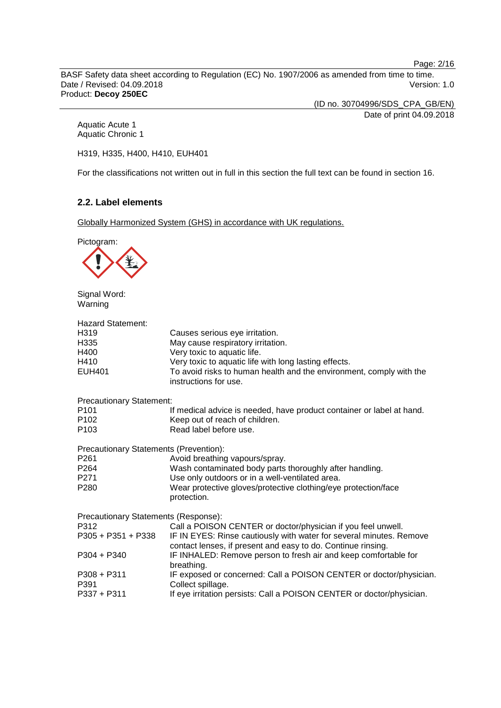Page: 2/16

BASF Safety data sheet according to Regulation (EC) No. 1907/2006 as amended from time to time. Date / Revised: 04.09.2018 Product: **Decoy 250EC**

(ID no. 30704996/SDS\_CPA\_GB/EN)

Date of print 04.09.2018

Aquatic Acute 1 Aquatic Chronic 1

H319, H335, H400, H410, EUH401

For the classifications not written out in full in this section the full text can be found in section 16.

## **2.2. Label elements**

Globally Harmonized System (GHS) in accordance with UK regulations.



Signal Word: Warning

| Hazard Statement:<br>H319<br>H335<br>H400<br>H410<br>EUH401 | Causes serious eye irritation.<br>May cause respiratory irritation.<br>Very toxic to aquatic life.<br>Very toxic to aquatic life with long lasting effects.<br>To avoid risks to human health and the environment, comply with the<br>instructions for use. |
|-------------------------------------------------------------|-------------------------------------------------------------------------------------------------------------------------------------------------------------------------------------------------------------------------------------------------------------|
| <b>Precautionary Statement:</b>                             |                                                                                                                                                                                                                                                             |
| P <sub>101</sub><br>P102<br>P103                            | If medical advice is needed, have product container or label at hand.<br>Keep out of reach of children.<br>Read label before use.                                                                                                                           |
| Precautionary Statements (Prevention):                      |                                                                                                                                                                                                                                                             |
| P261                                                        | Avoid breathing vapours/spray.                                                                                                                                                                                                                              |
| P264<br>P271                                                | Wash contaminated body parts thoroughly after handling.<br>Use only outdoors or in a well-ventilated area.                                                                                                                                                  |
| P280                                                        | Wear protective gloves/protective clothing/eye protection/face<br>protection.                                                                                                                                                                               |
| Precautionary Statements (Response):                        |                                                                                                                                                                                                                                                             |
| P312                                                        | Call a POISON CENTER or doctor/physician if you feel unwell.                                                                                                                                                                                                |
| P305 + P351 + P338                                          | IF IN EYES: Rinse cautiously with water for several minutes. Remove<br>contact lenses, if present and easy to do. Continue rinsing.                                                                                                                         |
| P304 + P340                                                 | IF INHALED: Remove person to fresh air and keep comfortable for<br>breathing.                                                                                                                                                                               |
| P308 + P311                                                 | IF exposed or concerned: Call a POISON CENTER or doctor/physician.                                                                                                                                                                                          |
| P391                                                        | Collect spillage.                                                                                                                                                                                                                                           |
| P337 + P311                                                 | If eye irritation persists: Call a POISON CENTER or doctor/physician.                                                                                                                                                                                       |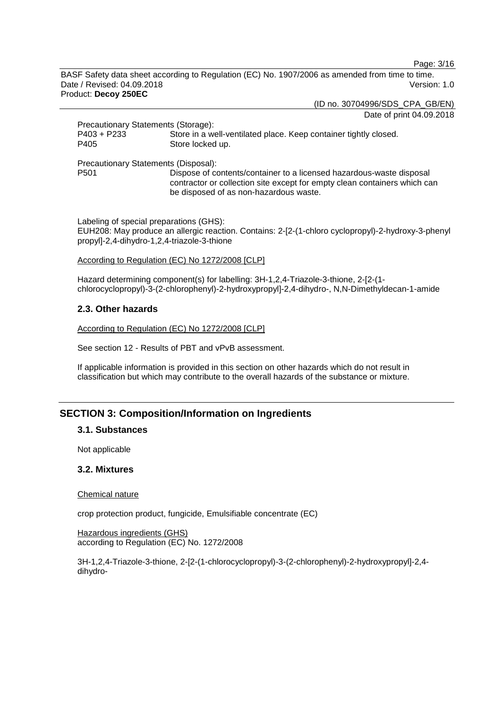Page: 3/16

BASF Safety data sheet according to Regulation (EC) No. 1907/2006 as amended from time to time. Date / Revised: 04.09.2018 Version: 1.0 Product: **Decoy 250EC**

(ID no. 30704996/SDS\_CPA\_GB/EN)

Date of print 04.09.2018

| Precautionary Statements (Storage):  |                                                                                                                                                                                             |
|--------------------------------------|---------------------------------------------------------------------------------------------------------------------------------------------------------------------------------------------|
| P403 + P233                          | Store in a well-ventilated place. Keep container tightly closed.                                                                                                                            |
| P405                                 | Store locked up.                                                                                                                                                                            |
| Precautionary Statements (Disposal): |                                                                                                                                                                                             |
| P <sub>501</sub>                     | Dispose of contents/container to a licensed hazardous-waste disposal<br>contractor or collection site except for empty clean containers which can<br>be disposed of as non-hazardous waste. |

Labeling of special preparations (GHS): EUH208: May produce an allergic reaction. Contains: 2-[2-(1-chloro cyclopropyl)-2-hydroxy-3-phenyl propyl]-2,4-dihydro-1,2,4-triazole-3-thione

#### According to Regulation (EC) No 1272/2008 [CLP]

Hazard determining component(s) for labelling: 3H-1,2,4-Triazole-3-thione, 2-[2-(1 chlorocyclopropyl)-3-(2-chlorophenyl)-2-hydroxypropyl]-2,4-dihydro-, N,N-Dimethyldecan-1-amide

## **2.3. Other hazards**

According to Regulation (EC) No 1272/2008 [CLP]

See section 12 - Results of PBT and vPvB assessment.

If applicable information is provided in this section on other hazards which do not result in classification but which may contribute to the overall hazards of the substance or mixture.

# **SECTION 3: Composition/Information on Ingredients**

## **3.1. Substances**

Not applicable

## **3.2. Mixtures**

Chemical nature

crop protection product, fungicide, Emulsifiable concentrate (EC)

Hazardous ingredients (GHS) according to Regulation (EC) No. 1272/2008

3H-1,2,4-Triazole-3-thione, 2-[2-(1-chlorocyclopropyl)-3-(2-chlorophenyl)-2-hydroxypropyl]-2,4 dihydro-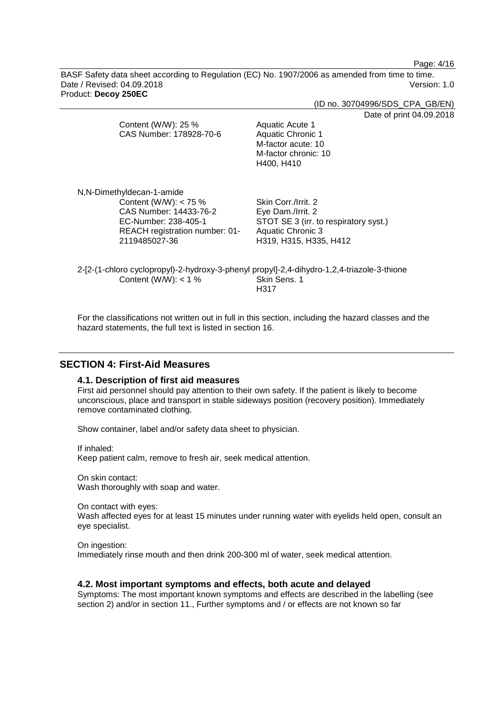Page: 4/16

BASF Safety data sheet according to Regulation (EC) No. 1907/2006 as amended from time to time. Date / Revised: 04.09.2018 Version: 1.0 Product: **Decoy 250EC**

|                                | (ID no. 30704996/SDS_CPA_GB/EN)                                                                            |
|--------------------------------|------------------------------------------------------------------------------------------------------------|
|                                | Date of print 04.09.2018                                                                                   |
| Content (W/W): 25 %            | Aquatic Acute 1                                                                                            |
| CAS Number: 178928-70-6        | Aquatic Chronic 1                                                                                          |
|                                | M-factor acute: 10                                                                                         |
|                                | M-factor chronic: 10                                                                                       |
|                                | H400, H410                                                                                                 |
| N,N-Dimethyldecan-1-amide      |                                                                                                            |
| Content (W/W): $<$ 75 %        | Skin Corr./Irrit. 2                                                                                        |
| CAS Number: 14433-76-2         | Eye Dam./Irrit. 2                                                                                          |
| EC-Number: 238-405-1           | STOT SE 3 (irr. to respiratory syst.)                                                                      |
| REACH registration number: 01- | Aquatic Chronic 3                                                                                          |
| 2119485027-36                  | H319, H315, H335, H412                                                                                     |
| Content (W/W): $<$ 1 %         | 2-[2-(1-chloro cyclopropyl)-2-hydroxy-3-phenyl propyl]-2,4-dihydro-1,2,4-triazole-3-thione<br>Skin Sens. 1 |
|                                | H317                                                                                                       |
|                                |                                                                                                            |

For the classifications not written out in full in this section, including the hazard classes and the hazard statements, the full text is listed in section 16.

# **SECTION 4: First-Aid Measures**

#### **4.1. Description of first aid measures**

First aid personnel should pay attention to their own safety. If the patient is likely to become unconscious, place and transport in stable sideways position (recovery position). Immediately remove contaminated clothing.

Show container, label and/or safety data sheet to physician.

If inhaled:

Keep patient calm, remove to fresh air, seek medical attention.

On skin contact: Wash thoroughly with soap and water.

On contact with eyes:

Wash affected eyes for at least 15 minutes under running water with eyelids held open, consult an eye specialist.

On ingestion: Immediately rinse mouth and then drink 200-300 ml of water, seek medical attention.

## **4.2. Most important symptoms and effects, both acute and delayed**

Symptoms: The most important known symptoms and effects are described in the labelling (see section 2) and/or in section 11., Further symptoms and / or effects are not known so far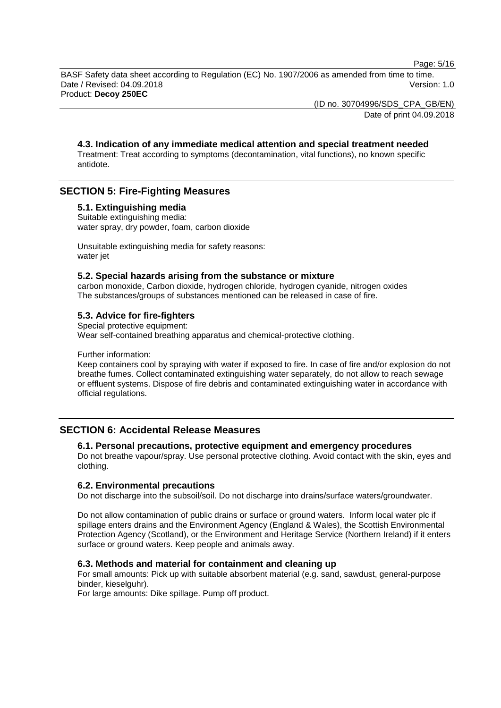Page: 5/16

BASF Safety data sheet according to Regulation (EC) No. 1907/2006 as amended from time to time. Date / Revised: 04.09.2018 Version: 1.0 Product: **Decoy 250EC**

(ID no. 30704996/SDS\_CPA\_GB/EN)

Date of print 04.09.2018

#### **4.3. Indication of any immediate medical attention and special treatment needed** Treatment: Treat according to symptoms (decontamination, vital functions), no known specific antidote.

# **SECTION 5: Fire-Fighting Measures**

# **5.1. Extinguishing media**

Suitable extinguishing media: water spray, dry powder, foam, carbon dioxide

Unsuitable extinguishing media for safety reasons: water jet

## **5.2. Special hazards arising from the substance or mixture**

carbon monoxide, Carbon dioxide, hydrogen chloride, hydrogen cyanide, nitrogen oxides The substances/groups of substances mentioned can be released in case of fire.

## **5.3. Advice for fire-fighters**

Special protective equipment: Wear self-contained breathing apparatus and chemical-protective clothing.

Further information:

Keep containers cool by spraying with water if exposed to fire. In case of fire and/or explosion do not breathe fumes. Collect contaminated extinguishing water separately, do not allow to reach sewage or effluent systems. Dispose of fire debris and contaminated extinguishing water in accordance with official regulations.

# **SECTION 6: Accidental Release Measures**

#### **6.1. Personal precautions, protective equipment and emergency procedures**

Do not breathe vapour/spray. Use personal protective clothing. Avoid contact with the skin, eyes and clothing.

#### **6.2. Environmental precautions**

Do not discharge into the subsoil/soil. Do not discharge into drains/surface waters/groundwater.

Do not allow contamination of public drains or surface or ground waters. Inform local water plc if spillage enters drains and the Environment Agency (England & Wales), the Scottish Environmental Protection Agency (Scotland), or the Environment and Heritage Service (Northern Ireland) if it enters surface or ground waters. Keep people and animals away.

## **6.3. Methods and material for containment and cleaning up**

For small amounts: Pick up with suitable absorbent material (e.g. sand, sawdust, general-purpose binder, kieselguhr).

For large amounts: Dike spillage. Pump off product.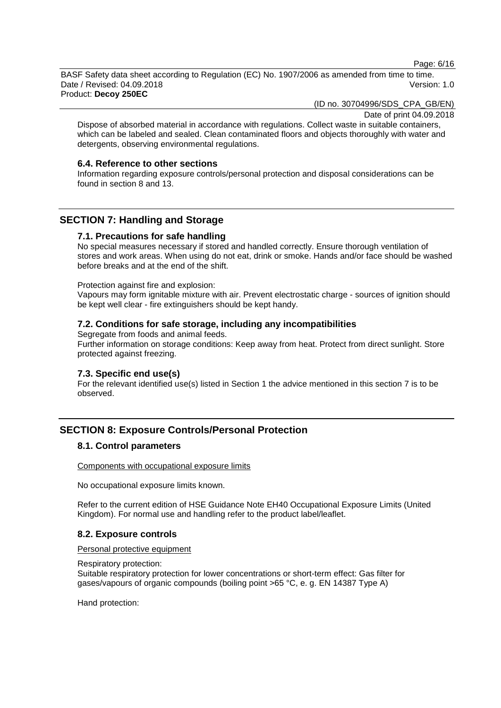Page: 6/16

BASF Safety data sheet according to Regulation (EC) No. 1907/2006 as amended from time to time. Date / Revised: 04.09.2018 Version: 1.0 Product: **Decoy 250EC**

(ID no. 30704996/SDS\_CPA\_GB/EN)

Date of print 04.09.2018

Dispose of absorbed material in accordance with regulations. Collect waste in suitable containers, which can be labeled and sealed. Clean contaminated floors and objects thoroughly with water and detergents, observing environmental regulations.

#### **6.4. Reference to other sections**

Information regarding exposure controls/personal protection and disposal considerations can be found in section 8 and 13.

# **SECTION 7: Handling and Storage**

## **7.1. Precautions for safe handling**

No special measures necessary if stored and handled correctly. Ensure thorough ventilation of stores and work areas. When using do not eat, drink or smoke. Hands and/or face should be washed before breaks and at the end of the shift.

#### Protection against fire and explosion:

Vapours may form ignitable mixture with air. Prevent electrostatic charge - sources of ignition should be kept well clear - fire extinguishers should be kept handy.

#### **7.2. Conditions for safe storage, including any incompatibilities**

Segregate from foods and animal feeds. Further information on storage conditions: Keep away from heat. Protect from direct sunlight. Store protected against freezing.

#### **7.3. Specific end use(s)**

For the relevant identified use(s) listed in Section 1 the advice mentioned in this section 7 is to be observed.

# **SECTION 8: Exposure Controls/Personal Protection**

# **8.1. Control parameters**

Components with occupational exposure limits

No occupational exposure limits known.

Refer to the current edition of HSE Guidance Note EH40 Occupational Exposure Limits (United Kingdom). For normal use and handling refer to the product label/leaflet.

## **8.2. Exposure controls**

#### Personal protective equipment

#### Respiratory protection:

Suitable respiratory protection for lower concentrations or short-term effect: Gas filter for gases/vapours of organic compounds (boiling point >65 °C, e. g. EN 14387 Type A)

Hand protection: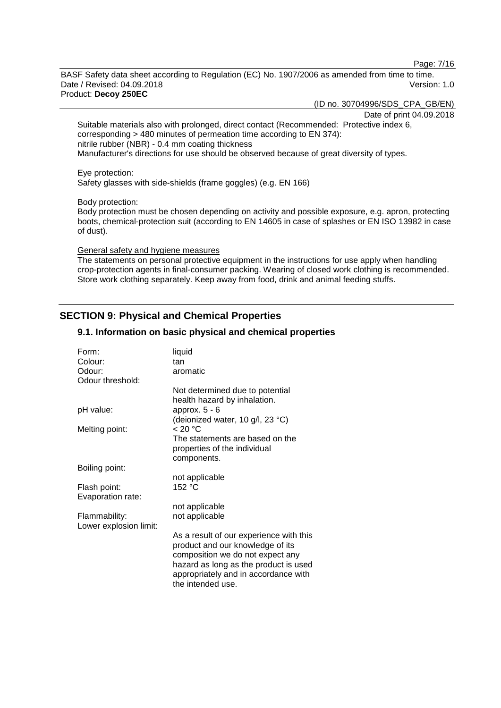Page: 7/16

BASF Safety data sheet according to Regulation (EC) No. 1907/2006 as amended from time to time. Date / Revised: 04.09.2018 Version: 1.0 Product: **Decoy 250EC**

(ID no. 30704996/SDS\_CPA\_GB/EN)

Date of print 04.09.2018

Suitable materials also with prolonged, direct contact (Recommended: Protective index 6, corresponding > 480 minutes of permeation time according to EN 374): nitrile rubber (NBR) - 0.4 mm coating thickness Manufacturer's directions for use should be observed because of great diversity of types.

#### Eye protection:

Safety glasses with side-shields (frame goggles) (e.g. EN 166)

Body protection:

Body protection must be chosen depending on activity and possible exposure, e.g. apron, protecting boots, chemical-protection suit (according to EN 14605 in case of splashes or EN ISO 13982 in case of dust).

# General safety and hygiene measures

The statements on personal protective equipment in the instructions for use apply when handling crop-protection agents in final-consumer packing. Wearing of closed work clothing is recommended. Store work clothing separately. Keep away from food, drink and animal feeding stuffs.

# **SECTION 9: Physical and Chemical Properties**

#### **9.1. Information on basic physical and chemical properties**

| Form:                  | liquid                                                          |
|------------------------|-----------------------------------------------------------------|
| Colour:                | tan                                                             |
| Odour:                 | aromatic                                                        |
| Odour threshold:       |                                                                 |
|                        | Not determined due to potential<br>health hazard by inhalation. |
| pH value:              | approx. $5 - 6$                                                 |
|                        | (deionized water, 10 g/l, 23 °C)                                |
| Melting point:         | < 20 °C                                                         |
|                        | The statements are based on the                                 |
|                        | properties of the individual                                    |
|                        |                                                                 |
|                        | components.                                                     |
| Boiling point:         |                                                                 |
|                        | not applicable                                                  |
| Flash point:           | 152 °C                                                          |
| Evaporation rate:      |                                                                 |
|                        | not applicable                                                  |
| Flammability:          | not applicable                                                  |
| Lower explosion limit: |                                                                 |
|                        | As a result of our experience with this                         |
|                        | product and our knowledge of its                                |
|                        | composition we do not expect any                                |
|                        | hazard as long as the product is used                           |
|                        | appropriately and in accordance with                            |
|                        | the intended use.                                               |
|                        |                                                                 |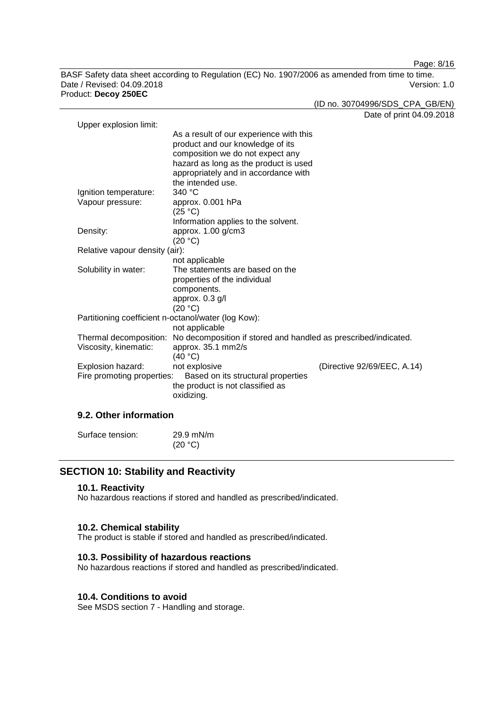Page: 8/16

BASF Safety data sheet according to Regulation (EC) No. 1907/2006 as amended from time to time. Date / Revised: 04.09.2018 Product: **Decoy 250EC**

(ID no. 30704996/SDS\_CPA\_GB/EN)

Date of print 04.09.2018

| Upper explosion limit:         |                                                                                                                                                                                                                       | Dale Of Drift 04.03         |
|--------------------------------|-----------------------------------------------------------------------------------------------------------------------------------------------------------------------------------------------------------------------|-----------------------------|
|                                | As a result of our experience with this<br>product and our knowledge of its<br>composition we do not expect any<br>hazard as long as the product is used<br>appropriately and in accordance with<br>the intended use. |                             |
| Ignition temperature:          | 340 °C                                                                                                                                                                                                                |                             |
| Vapour pressure:               | approx. 0.001 hPa<br>(25 °C)                                                                                                                                                                                          |                             |
|                                | Information applies to the solvent.                                                                                                                                                                                   |                             |
| Density:                       | approx. 1.00 g/cm3                                                                                                                                                                                                    |                             |
|                                | (20 °C)                                                                                                                                                                                                               |                             |
| Relative vapour density (air): |                                                                                                                                                                                                                       |                             |
|                                | not applicable                                                                                                                                                                                                        |                             |
| Solubility in water:           | The statements are based on the                                                                                                                                                                                       |                             |
|                                | properties of the individual                                                                                                                                                                                          |                             |
|                                | components.                                                                                                                                                                                                           |                             |
|                                | approx. 0.3 g/l                                                                                                                                                                                                       |                             |
|                                | (20 °C)                                                                                                                                                                                                               |                             |
|                                | Partitioning coefficient n-octanol/water (log Kow):                                                                                                                                                                   |                             |
|                                | not applicable                                                                                                                                                                                                        |                             |
|                                | Thermal decomposition: No decomposition if stored and handled as prescribed/indicated.                                                                                                                                |                             |
| Viscosity, kinematic:          | approx. 35.1 mm2/s                                                                                                                                                                                                    |                             |
|                                | (40 °C)                                                                                                                                                                                                               |                             |
| Explosion hazard:              | not explosive                                                                                                                                                                                                         | (Directive 92/69/EEC, A.14) |
| Fire promoting properties:     | Based on its structural properties                                                                                                                                                                                    |                             |
|                                | the product is not classified as                                                                                                                                                                                      |                             |
|                                | oxidizing.                                                                                                                                                                                                            |                             |
|                                |                                                                                                                                                                                                                       |                             |

## **9.2. Other information**

| Surface tension: | $29.9$ mN/m |
|------------------|-------------|
|                  | (20 °C)     |

# **SECTION 10: Stability and Reactivity**

#### **10.1. Reactivity**

No hazardous reactions if stored and handled as prescribed/indicated.

#### **10.2. Chemical stability**

The product is stable if stored and handled as prescribed/indicated.

## **10.3. Possibility of hazardous reactions**

No hazardous reactions if stored and handled as prescribed/indicated.

#### **10.4. Conditions to avoid**

See MSDS section 7 - Handling and storage.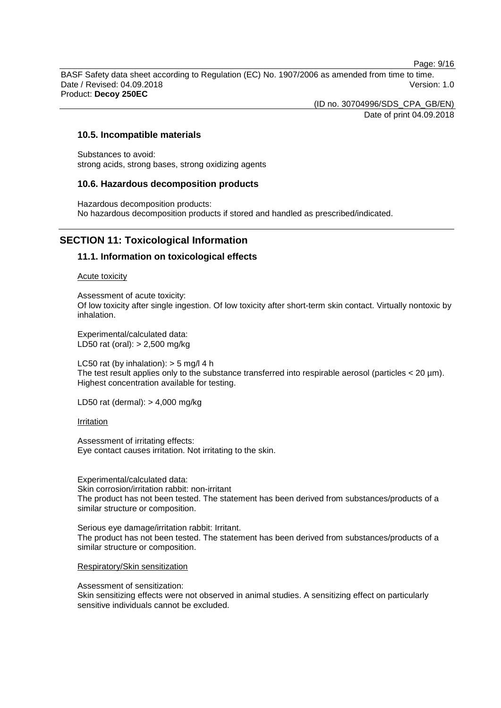Page: 9/16

BASF Safety data sheet according to Regulation (EC) No. 1907/2006 as amended from time to time. Date / Revised: 04.09.2018 Version: 1.0 Product: **Decoy 250EC**

> (ID no. 30704996/SDS\_CPA\_GB/EN) Date of print 04.09.2018

## **10.5. Incompatible materials**

Substances to avoid: strong acids, strong bases, strong oxidizing agents

#### **10.6. Hazardous decomposition products**

Hazardous decomposition products: No hazardous decomposition products if stored and handled as prescribed/indicated.

# **SECTION 11: Toxicological Information**

#### **11.1. Information on toxicological effects**

Acute toxicity

Assessment of acute toxicity: Of low toxicity after single ingestion. Of low toxicity after short-term skin contact. Virtually nontoxic by inhalation.

Experimental/calculated data: LD50 rat (oral): > 2,500 mg/kg

LC50 rat (by inhalation):  $>$  5 mg/l 4 h The test result applies only to the substance transferred into respirable aerosol (particles  $<$  20  $\mu$ m). Highest concentration available for testing.

LD50 rat (dermal): > 4,000 mg/kg

Irritation

Assessment of irritating effects: Eye contact causes irritation. Not irritating to the skin.

Experimental/calculated data: Skin corrosion/irritation rabbit: non-irritant The product has not been tested. The statement has been derived from substances/products of a similar structure or composition.

Serious eye damage/irritation rabbit: Irritant. The product has not been tested. The statement has been derived from substances/products of a similar structure or composition.

Respiratory/Skin sensitization

Assessment of sensitization:

Skin sensitizing effects were not observed in animal studies. A sensitizing effect on particularly sensitive individuals cannot be excluded.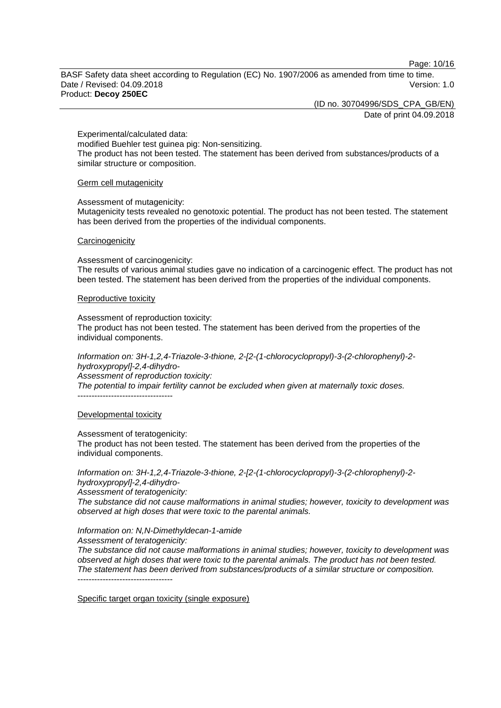Page: 10/16

BASF Safety data sheet according to Regulation (EC) No. 1907/2006 as amended from time to time. Date / Revised: 04.09.2018 Version: 1.0 Product: **Decoy 250EC**

> (ID no. 30704996/SDS\_CPA\_GB/EN) Date of print 04.09.2018

Experimental/calculated data: modified Buehler test guinea pig: Non-sensitizing. The product has not been tested. The statement has been derived from substances/products of a similar structure or composition.

#### Germ cell mutagenicity

Assessment of mutagenicity:

Mutagenicity tests revealed no genotoxic potential. The product has not been tested. The statement has been derived from the properties of the individual components.

#### **Carcinogenicity**

Assessment of carcinogenicity:

The results of various animal studies gave no indication of a carcinogenic effect. The product has not been tested. The statement has been derived from the properties of the individual components.

#### Reproductive toxicity

Assessment of reproduction toxicity:

The product has not been tested. The statement has been derived from the properties of the individual components.

*Information on: 3H-1,2,4-Triazole-3-thione, 2-[2-(1-chlorocyclopropyl)-3-(2-chlorophenyl)-2 hydroxypropyl]-2,4-dihydro-Assessment of reproduction toxicity:*

*The potential to impair fertility cannot be excluded when given at maternally toxic doses.* ----------------------------------

#### Developmental toxicity

Assessment of teratogenicity:

The product has not been tested. The statement has been derived from the properties of the individual components.

*Information on: 3H-1,2,4-Triazole-3-thione, 2-[2-(1-chlorocyclopropyl)-3-(2-chlorophenyl)-2 hydroxypropyl]-2,4-dihydro-*

*Assessment of teratogenicity:*

*The substance did not cause malformations in animal studies; however, toxicity to development was observed at high doses that were toxic to the parental animals.*

*Information on: N,N-Dimethyldecan-1-amide*

*Assessment of teratogenicity:*

*The substance did not cause malformations in animal studies; however, toxicity to development was observed at high doses that were toxic to the parental animals. The product has not been tested. The statement has been derived from substances/products of a similar structure or composition.* ----------------------------------

Specific target organ toxicity (single exposure)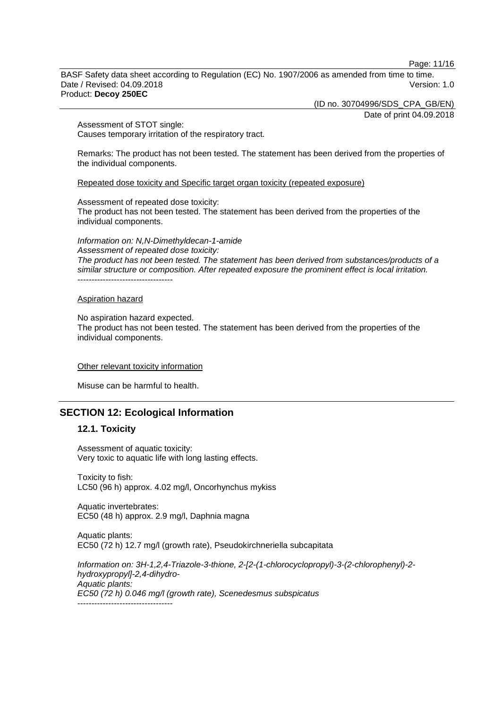Page: 11/16

BASF Safety data sheet according to Regulation (EC) No. 1907/2006 as amended from time to time. Date / Revised: 04.09.2018 Version: 1.0 Product: **Decoy 250EC**

(ID no. 30704996/SDS\_CPA\_GB/EN)

Date of print 04.09.2018

Assessment of STOT single: Causes temporary irritation of the respiratory tract.

Remarks: The product has not been tested. The statement has been derived from the properties of the individual components.

Repeated dose toxicity and Specific target organ toxicity (repeated exposure)

Assessment of repeated dose toxicity:

The product has not been tested. The statement has been derived from the properties of the individual components.

*Information on: N,N-Dimethyldecan-1-amide Assessment of repeated dose toxicity: The product has not been tested. The statement has been derived from substances/products of a similar structure or composition. After repeated exposure the prominent effect is local irritation.* ----------------------------------

#### Aspiration hazard

#### No aspiration hazard expected.

The product has not been tested. The statement has been derived from the properties of the individual components.

#### Other relevant toxicity information

Misuse can be harmful to health.

## **SECTION 12: Ecological Information**

#### **12.1. Toxicity**

Assessment of aquatic toxicity: Very toxic to aquatic life with long lasting effects.

Toxicity to fish: LC50 (96 h) approx. 4.02 mg/l, Oncorhynchus mykiss

Aquatic invertebrates: EC50 (48 h) approx. 2.9 mg/l, Daphnia magna

Aquatic plants: EC50 (72 h) 12.7 mg/l (growth rate), Pseudokirchneriella subcapitata

*Information on: 3H-1,2,4-Triazole-3-thione, 2-[2-(1-chlorocyclopropyl)-3-(2-chlorophenyl)-2 hydroxypropyl]-2,4-dihydro-Aquatic plants: EC50 (72 h) 0.046 mg/l (growth rate), Scenedesmus subspicatus* ----------------------------------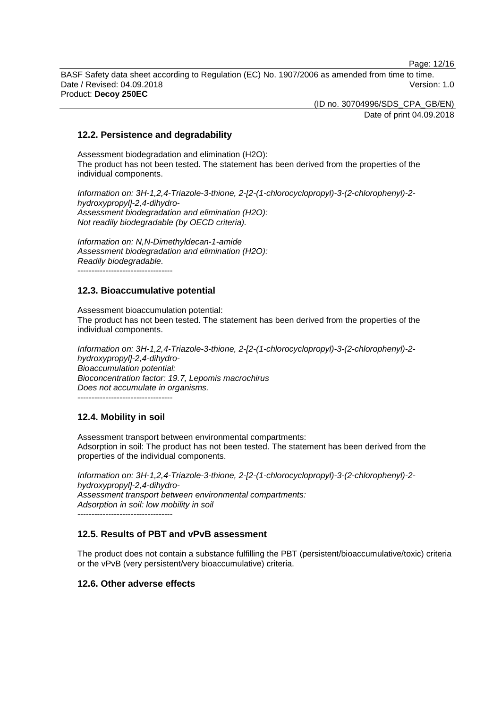Page: 12/16

BASF Safety data sheet according to Regulation (EC) No. 1907/2006 as amended from time to time. Date / Revised: 04.09.2018 Version: 1.0 Product: **Decoy 250EC**

> (ID no. 30704996/SDS\_CPA\_GB/EN) Date of print 04.09.2018

# **12.2. Persistence and degradability**

Assessment biodegradation and elimination (H2O): The product has not been tested. The statement has been derived from the properties of the individual components.

*Information on: 3H-1,2,4-Triazole-3-thione, 2-[2-(1-chlorocyclopropyl)-3-(2-chlorophenyl)-2 hydroxypropyl]-2,4-dihydro-Assessment biodegradation and elimination (H2O): Not readily biodegradable (by OECD criteria).*

*Information on: N,N-Dimethyldecan-1-amide Assessment biodegradation and elimination (H2O): Readily biodegradable.* ----------------------------------

# **12.3. Bioaccumulative potential**

Assessment bioaccumulation potential: The product has not been tested. The statement has been derived from the properties of the individual components.

*Information on: 3H-1,2,4-Triazole-3-thione, 2-[2-(1-chlorocyclopropyl)-3-(2-chlorophenyl)-2 hydroxypropyl]-2,4-dihydro-Bioaccumulation potential: Bioconcentration factor: 19.7, Lepomis macrochirus Does not accumulate in organisms.*

----------------------------------

## **12.4. Mobility in soil**

Assessment transport between environmental compartments: Adsorption in soil: The product has not been tested. The statement has been derived from the properties of the individual components.

*Information on: 3H-1,2,4-Triazole-3-thione, 2-[2-(1-chlorocyclopropyl)-3-(2-chlorophenyl)-2 hydroxypropyl]-2,4-dihydro-Assessment transport between environmental compartments: Adsorption in soil: low mobility in soil*  $-$ 

# **12.5. Results of PBT and vPvB assessment**

The product does not contain a substance fulfilling the PBT (persistent/bioaccumulative/toxic) criteria or the vPvB (very persistent/very bioaccumulative) criteria.

# **12.6. Other adverse effects**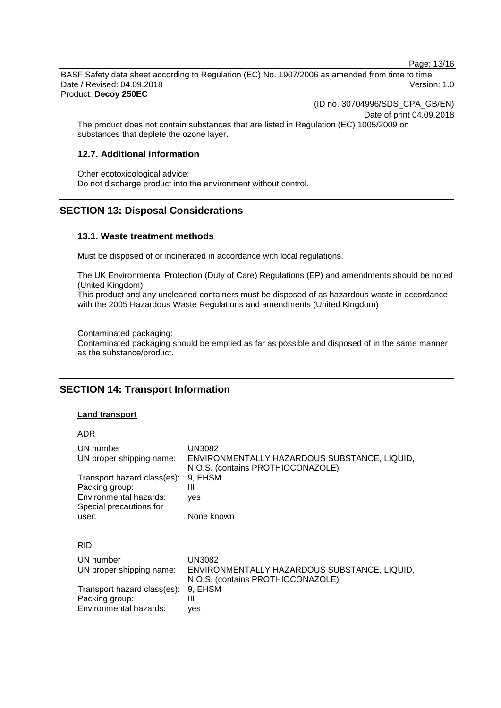Page: 13/16

BASF Safety data sheet according to Regulation (EC) No. 1907/2006 as amended from time to time. Date / Revised: 04.09.2018 Version: 1.0 Product: **Decoy 250EC**

(ID no. 30704996/SDS\_CPA\_GB/EN)

Date of print 04.09.2018

The product does not contain substances that are listed in Regulation (EC) 1005/2009 on substances that deplete the ozone layer.

# **12.7. Additional information**

Other ecotoxicological advice: Do not discharge product into the environment without control.

# **SECTION 13: Disposal Considerations**

#### **13.1. Waste treatment methods**

Must be disposed of or incinerated in accordance with local regulations.

The UK Environmental Protection (Duty of Care) Regulations (EP) and amendments should be noted (United Kingdom).

This product and any uncleaned containers must be disposed of as hazardous waste in accordance with the 2005 Hazardous Waste Regulations and amendments (United Kingdom)

Contaminated packaging: Contaminated packaging should be emptied as far as possible and disposed of in the same manner as the substance/product.

# **SECTION 14: Transport Information**

#### **Land transport**

| ۰, |
|----|
|----|

| UN number<br>UN proper shipping name:<br>Transport hazard class(es):<br>Packing group:<br>Environmental hazards:<br>Special precautions for<br>user: | UN3082<br>ENVIRONMENTALLY HAZARDOUS SUBSTANCE, LIQUID,<br>N.O.S. (contains PROTHIOCONAZOLE)<br>9. EHSM<br>Ш<br>yes<br>None known |
|------------------------------------------------------------------------------------------------------------------------------------------------------|----------------------------------------------------------------------------------------------------------------------------------|
| RID                                                                                                                                                  |                                                                                                                                  |
| UN number<br>UN proper shipping name:<br>Transport hazard class(es):<br>Packing group:                                                               | <b>UN3082</b><br>ENVIRONMENTALLY HAZARDOUS SUBSTANCE, LIQUID,<br>N.O.S. (contains PROTHIOCONAZOLE)<br>9, EHSM<br>Ш               |
| Environmental hazards:                                                                                                                               | yes                                                                                                                              |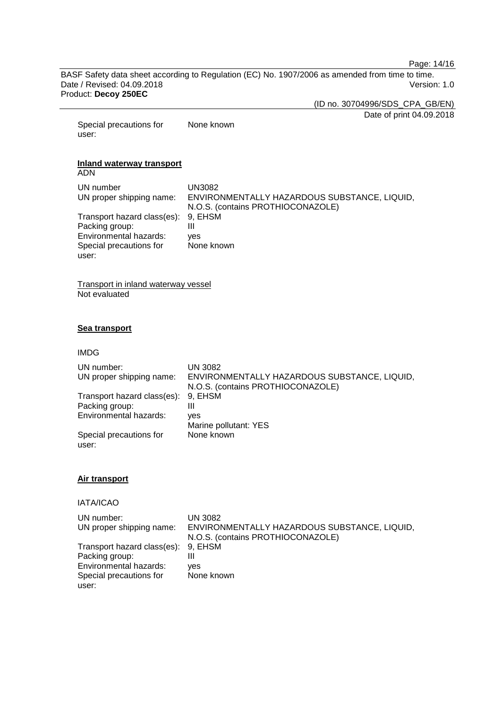Page: 14/16

BASF Safety data sheet according to Regulation (EC) No. 1907/2006 as amended from time to time. Date / Revised: 04.09.2018 Product: **Decoy 250EC**

(ID no. 30704996/SDS\_CPA\_GB/EN)

Date of print 04.09.2018

Special precautions for user: None known

#### **Inland waterway transport** ADN

| UN number<br>UN proper shipping name: | UN3082<br>ENVIRONMENTALLY HAZARDOUS SUBSTANCE, LIQUID,<br>N.O.S. (contains PROTHIOCONAZOLE) |
|---------------------------------------|---------------------------------------------------------------------------------------------|
| Transport hazard class(es): 9, EHSM   |                                                                                             |
| Packing group:                        | Ш                                                                                           |
| Environmental hazards:                | ves                                                                                         |
| Special precautions for               | None known                                                                                  |
| user:                                 |                                                                                             |

Transport in inland waterway vessel Not evaluated

## **Sea transport**

IMDG

| UN number:<br>UN proper shipping name: | <b>UN 3082</b><br>ENVIRONMENTALLY HAZARDOUS SUBSTANCE, LIQUID,<br>N.O.S. (contains PROTHIOCONAZOLE) |
|----------------------------------------|-----------------------------------------------------------------------------------------------------|
| Transport hazard class(es):            | 9, EHSM                                                                                             |
| Packing group:                         | Ш                                                                                                   |
| Environmental hazards:                 | ves                                                                                                 |
|                                        | Marine pollutant: YES                                                                               |
| Special precautions for<br>user:       | None known                                                                                          |

#### **Air transport**

IATA/ICAO

| UN number:                          | <b>UN 3082</b>                               |
|-------------------------------------|----------------------------------------------|
| UN proper shipping name:            | ENVIRONMENTALLY HAZARDOUS SUBSTANCE, LIQUID, |
|                                     | N.O.S. (contains PROTHIOCONAZOLE)            |
| Transport hazard class(es): 9, EHSM |                                              |
| Packing group:                      | Ш                                            |
| Environmental hazards:              | ves                                          |
| Special precautions for             | None known                                   |
| user:                               |                                              |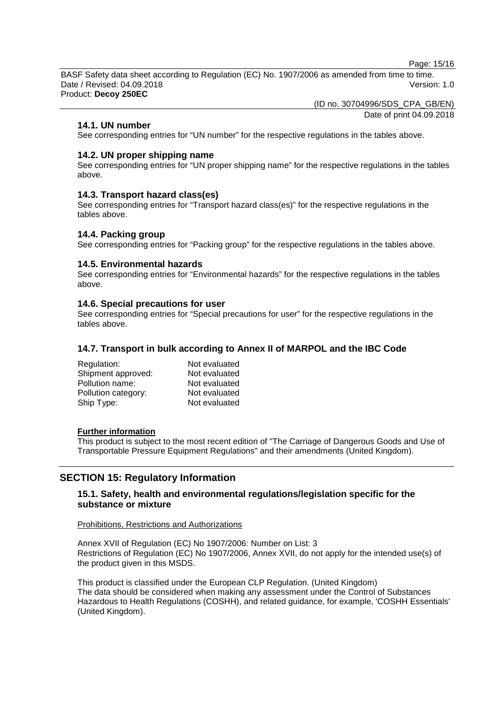Page: 15/16

BASF Safety data sheet according to Regulation (EC) No. 1907/2006 as amended from time to time. Date / Revised: 04.09.2018 Version: 1.0 Product: **Decoy 250EC**

(ID no. 30704996/SDS\_CPA\_GB/EN)

Date of print 04.09.2018

## **14.1. UN number**

See corresponding entries for "UN number" for the respective regulations in the tables above.

## **14.2. UN proper shipping name**

See corresponding entries for "UN proper shipping name" for the respective regulations in the tables above.

# **14.3. Transport hazard class(es)**

See corresponding entries for "Transport hazard class(es)" for the respective regulations in the tables above.

## **14.4. Packing group**

See corresponding entries for "Packing group" for the respective regulations in the tables above.

## **14.5. Environmental hazards**

See corresponding entries for "Environmental hazards" for the respective regulations in the tables above.

## **14.6. Special precautions for user**

See corresponding entries for "Special precautions for user" for the respective regulations in the tables above.

# **14.7. Transport in bulk according to Annex II of MARPOL and the IBC Code**

| Not evaluated |
|---------------|
| Not evaluated |
| Not evaluated |
| Not evaluated |
| Not evaluated |
|               |

#### **Further information**

This product is subject to the most recent edition of "The Carriage of Dangerous Goods and Use of Transportable Pressure Equipment Regulations" and their amendments (United Kingdom).

# **SECTION 15: Regulatory Information**

# **15.1. Safety, health and environmental regulations/legislation specific for the substance or mixture**

## Prohibitions, Restrictions and Authorizations

Annex XVII of Regulation (EC) No 1907/2006: Number on List: 3 Restrictions of Regulation (EC) No 1907/2006, Annex XVII, do not apply for the intended use(s) of the product given in this MSDS.

This product is classified under the European CLP Regulation. (United Kingdom) The data should be considered when making any assessment under the Control of Substances Hazardous to Health Regulations (COSHH), and related guidance, for example, 'COSHH Essentials' (United Kingdom).